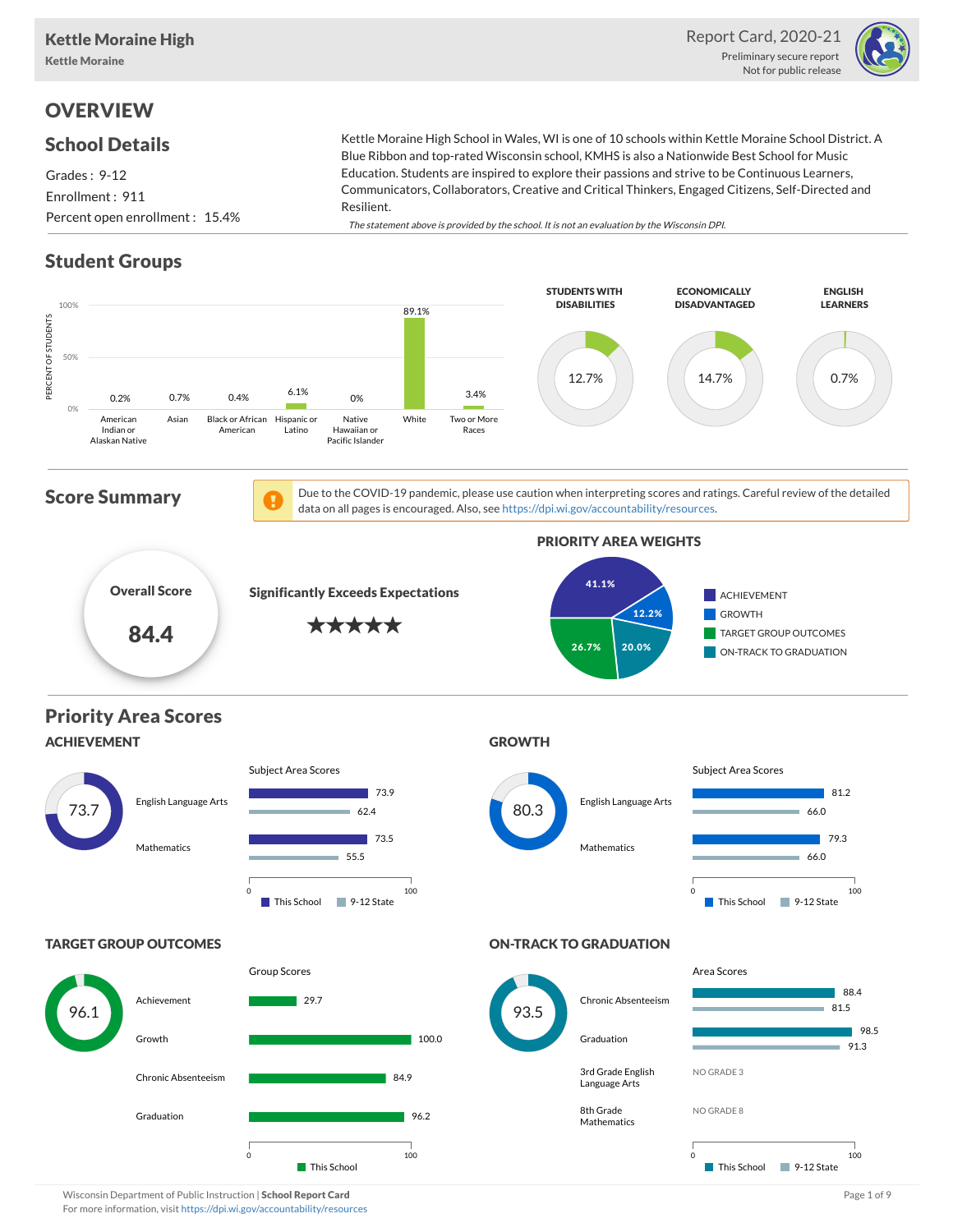Report Card, 2020-21 Preliminary secure report Not for public release



## **OVERVIEW**

### School Details

Grades : 9-12 Enrollment : 911 Percent open enrollment : 15.4% Blue Ribbon and top-rated Wisconsin school, KMHS is also a Nationwide Best School for Music Education. Students are inspired to explore their passions and strive to be Continuous Learners, Communicators, Collaborators, Creative and Critical Thinkers, Engaged Citizens, Self-Directed and Resilient. The statement above is provided by the school. It is not an evaluation by the Wisconsin DPI.

Kettle Moraine High School in Wales, WI is one of 10 schools within Kettle Moraine School District. A

### Student Groups



Wisconsin Department of Public Instruction | School Report Card Page 1 of 9 and 2008 and 2008 and Page 1 of 9 and Page 1 of 9 and Page 1 of 9 and Page 1 of 9 and Page 1 of 9 and Page 1 of 9 and Page 1 of 9 and Page 1 of 9 For more information, visit <https://dpi.wi.gov/accountability/resources>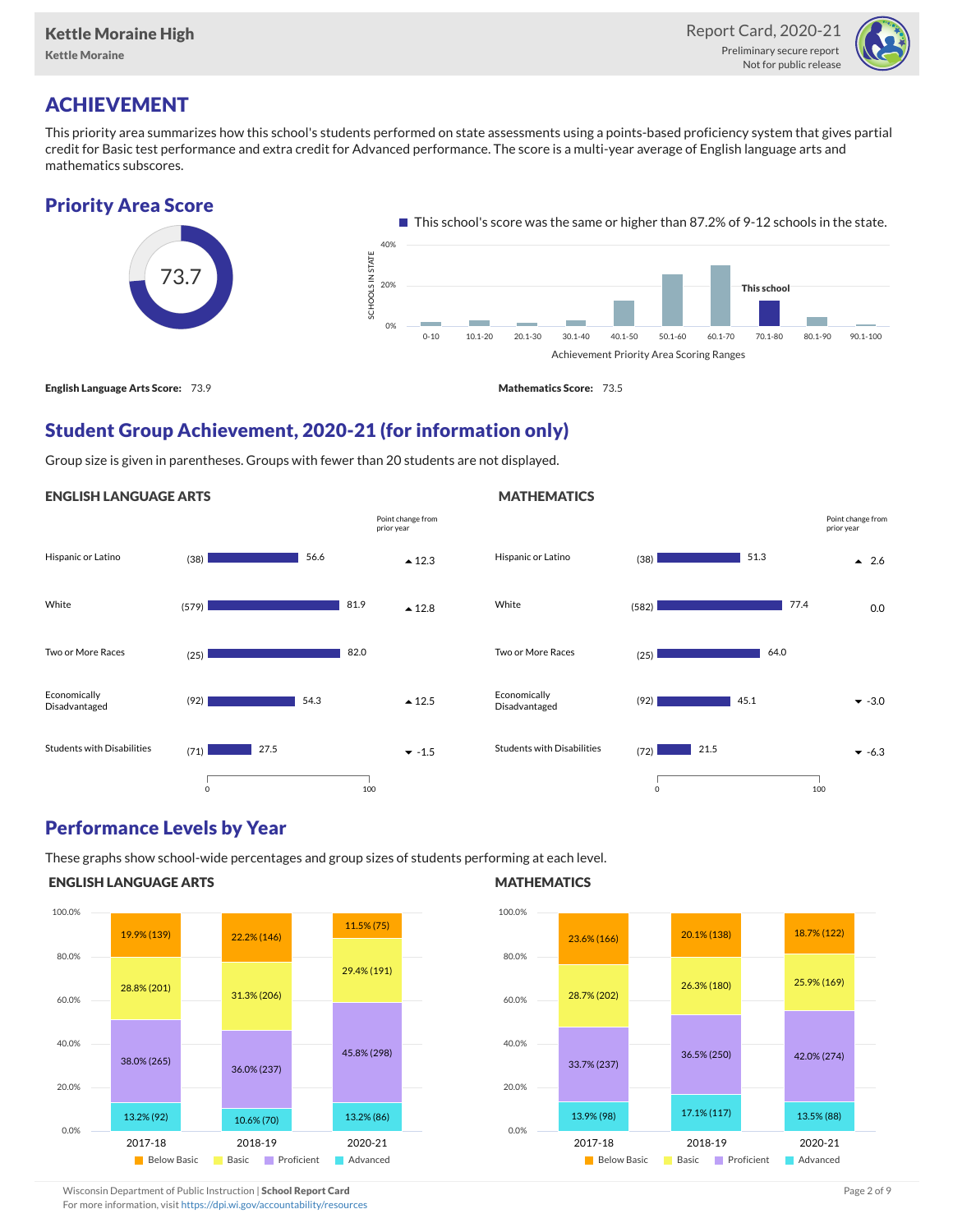

# ACHIEVEMENT

This priority area summarizes how this school's students performed on state assessments using a points-based proficiency system that gives partial credit for Basic test performance and extra credit for Advanced performance. The score is a multi-year average of English language arts and mathematics subscores.

### Priority Area Score



### Student Group Achievement, 2020-21 (for information only)

Group size is given in parentheses. Groups with fewer than 20 students are not displayed.

#### ENGLISH LANGUAGE ARTS





### Performance Levels by Year

These graphs show school-wide percentages and group sizes of students performing at each level.

#### ENGLISH LANGUAGE ARTS



#### **MATHEMATICS**



Wisconsin Department of Public Instruction | School Report Card Page 2 of 9 and 2 of 9 and 2 of 9 and 2 of 9 and 2 of 9 and 2 of 9 and 2 of 9 and 2 of 9 and 2 of 9 and 2 of 9 and 2 of 9 and 2 of 9 and 2 of 9 and 2 of 9 and For more information, visit <https://dpi.wi.gov/accountability/resources>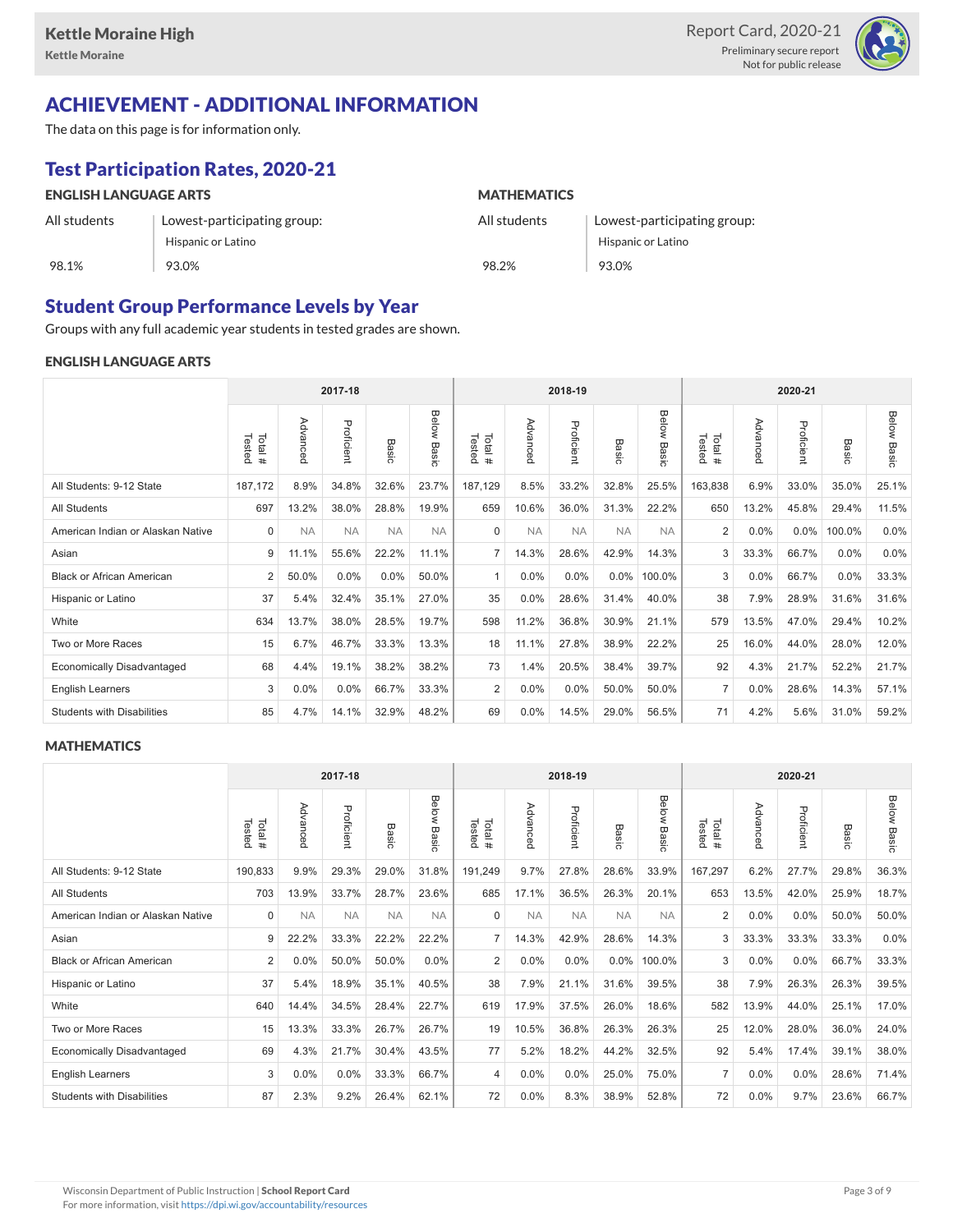

## ACHIEVEMENT - ADDITIONAL INFORMATION

The data on this page is for information only.

## Test Participation Rates, 2020-21

| <b>ENGLISH LANGUAGE ARTS</b> |                             | <b>MATHEMATICS</b> |                             |  |  |  |  |
|------------------------------|-----------------------------|--------------------|-----------------------------|--|--|--|--|
| All students                 | Lowest-participating group: | All students       | Lowest-participating group: |  |  |  |  |
|                              | Hispanic or Latino          |                    | Hispanic or Latino          |  |  |  |  |
| 98.1%                        | 93.0%                       | 98.2%              | 93.0%                       |  |  |  |  |

### Student Group Performance Levels by Year

Groups with any full academic year students in tested grades are shown.

#### ENGLISH LANGUAGE ARTS

|                                   |                  |           | 2017-18    |           |                |                  |           | 2018-19    |           |                |                  |          | 2020-21    |         |                    |
|-----------------------------------|------------------|-----------|------------|-----------|----------------|------------------|-----------|------------|-----------|----------------|------------------|----------|------------|---------|--------------------|
|                                   | Tested<br>Total# | Advanced  | Proficient | Basic     | Below<br>Basic | Tested<br>Total# | Advanced  | Proficient | Basic     | Below<br>Basic | Tested<br>Total# | Advanced | Proficient | Basic   | <b>Below Basic</b> |
| All Students: 9-12 State          | 187,172          | 8.9%      | 34.8%      | 32.6%     | 23.7%          | 187,129          | 8.5%      | 33.2%      | 32.8%     | 25.5%          | 163,838          | 6.9%     | 33.0%      | 35.0%   | 25.1%              |
| <b>All Students</b>               | 697              | 13.2%     | 38.0%      | 28.8%     | 19.9%          | 659              | 10.6%     | 36.0%      | 31.3%     | 22.2%          | 650              | 13.2%    | 45.8%      | 29.4%   | 11.5%              |
| American Indian or Alaskan Native | $\mathbf 0$      | <b>NA</b> | <b>NA</b>  | <b>NA</b> | <b>NA</b>      | $\Omega$         | <b>NA</b> | <b>NA</b>  | <b>NA</b> | <b>NA</b>      | $\overline{2}$   | 0.0%     | $0.0\%$    | 100.0%  | 0.0%               |
| Asian                             | 9                | 11.1%     | 55.6%      | 22.2%     | 11.1%          | $\overline{7}$   | 14.3%     | 28.6%      | 42.9%     | 14.3%          | 3                | 33.3%    | 66.7%      | $0.0\%$ | 0.0%               |
| <b>Black or African American</b>  | 2                | 50.0%     | 0.0%       | 0.0%      | 50.0%          | $\mathbf{1}$     | 0.0%      | 0.0%       | $0.0\%$   | 100.0%         | 3                | 0.0%     | 66.7%      | $0.0\%$ | 33.3%              |
| Hispanic or Latino                | 37               | 5.4%      | 32.4%      | 35.1%     | 27.0%          | 35               | 0.0%      | 28.6%      | 31.4%     | 40.0%          | 38               | 7.9%     | 28.9%      | 31.6%   | 31.6%              |
| White                             | 634              | 13.7%     | 38.0%      | 28.5%     | 19.7%          | 598              | 11.2%     | 36.8%      | 30.9%     | 21.1%          | 579              | 13.5%    | 47.0%      | 29.4%   | 10.2%              |
| Two or More Races                 | 15               | 6.7%      | 46.7%      | 33.3%     | 13.3%          | 18               | 11.1%     | 27.8%      | 38.9%     | 22.2%          | 25               | 16.0%    | 44.0%      | 28.0%   | 12.0%              |
| <b>Economically Disadvantaged</b> | 68               | 4.4%      | 19.1%      | 38.2%     | 38.2%          | 73               | 1.4%      | 20.5%      | 38.4%     | 39.7%          | 92               | 4.3%     | 21.7%      | 52.2%   | 21.7%              |
| <b>English Learners</b>           | 3                | 0.0%      | 0.0%       | 66.7%     | 33.3%          | 2                | 0.0%      | 0.0%       | 50.0%     | 50.0%          | $\overline{7}$   | 0.0%     | 28.6%      | 14.3%   | 57.1%              |
| <b>Students with Disabilities</b> | 85               | 4.7%      | 14.1%      | 32.9%     | 48.2%          | 69               | 0.0%      | 14.5%      | 29.0%     | 56.5%          | 71               | 4.2%     | 5.6%       | 31.0%   | 59.2%              |

#### **MATHEMATICS**

|                                   |                  |           | 2017-18    |           |                |                  |           | 2018-19    |           |                |                  |          | 2020-21    |       |                    |
|-----------------------------------|------------------|-----------|------------|-----------|----------------|------------------|-----------|------------|-----------|----------------|------------------|----------|------------|-------|--------------------|
|                                   | Tested<br>Total# | Advanced  | Proficient | Basic     | Below<br>Basic | Tested<br>Total# | Advanced  | Proficient | Basic     | Below<br>Basic | Tested<br>Total# | Advanced | Proficient | Basic | <b>Below Basic</b> |
| All Students: 9-12 State          | 190,833          | 9.9%      | 29.3%      | 29.0%     | 31.8%          | 191,249          | 9.7%      | 27.8%      | 28.6%     | 33.9%          | 167,297          | 6.2%     | 27.7%      | 29.8% | 36.3%              |
| <b>All Students</b>               | 703              | 13.9%     | 33.7%      | 28.7%     | 23.6%          | 685              | 17.1%     | 36.5%      | 26.3%     | 20.1%          | 653              | 13.5%    | 42.0%      | 25.9% | 18.7%              |
| American Indian or Alaskan Native | $\mathbf 0$      | <b>NA</b> | <b>NA</b>  | <b>NA</b> | <b>NA</b>      | $\Omega$         | <b>NA</b> | <b>NA</b>  | <b>NA</b> | <b>NA</b>      | $\overline{2}$   | 0.0%     | 0.0%       | 50.0% | 50.0%              |
| Asian                             | 9                | 22.2%     | 33.3%      | 22.2%     | 22.2%          | $\overline{7}$   | 14.3%     | 42.9%      | 28.6%     | 14.3%          | 3                | 33.3%    | 33.3%      | 33.3% | 0.0%               |
| <b>Black or African American</b>  | 2                | 0.0%      | 50.0%      | 50.0%     | $0.0\%$        | 2                | 0.0%      | $0.0\%$    | $0.0\%$   | 100.0%         | 3                | $0.0\%$  | $0.0\%$    | 66.7% | 33.3%              |
| Hispanic or Latino                | 37               | 5.4%      | 18.9%      | 35.1%     | 40.5%          | 38               | 7.9%      | 21.1%      | 31.6%     | 39.5%          | 38               | 7.9%     | 26.3%      | 26.3% | 39.5%              |
| White                             | 640              | 14.4%     | 34.5%      | 28.4%     | 22.7%          | 619              | 17.9%     | 37.5%      | 26.0%     | 18.6%          | 582              | 13.9%    | 44.0%      | 25.1% | 17.0%              |
| Two or More Races                 | 15               | 13.3%     | 33.3%      | 26.7%     | 26.7%          | 19               | 10.5%     | 36.8%      | 26.3%     | 26.3%          | 25               | 12.0%    | 28.0%      | 36.0% | 24.0%              |
| <b>Economically Disadvantaged</b> | 69               | 4.3%      | 21.7%      | 30.4%     | 43.5%          | 77               | 5.2%      | 18.2%      | 44.2%     | 32.5%          | 92               | 5.4%     | 17.4%      | 39.1% | 38.0%              |
| <b>English Learners</b>           | 3                | 0.0%      | 0.0%       | 33.3%     | 66.7%          | 4                | 0.0%      | 0.0%       | 25.0%     | 75.0%          | $\overline{7}$   | 0.0%     | 0.0%       | 28.6% | 71.4%              |
| <b>Students with Disabilities</b> | 87               | 2.3%      | 9.2%       | 26.4%     | 62.1%          | 72               | 0.0%      | 8.3%       | 38.9%     | 52.8%          | 72               | $0.0\%$  | 9.7%       | 23.6% | 66.7%              |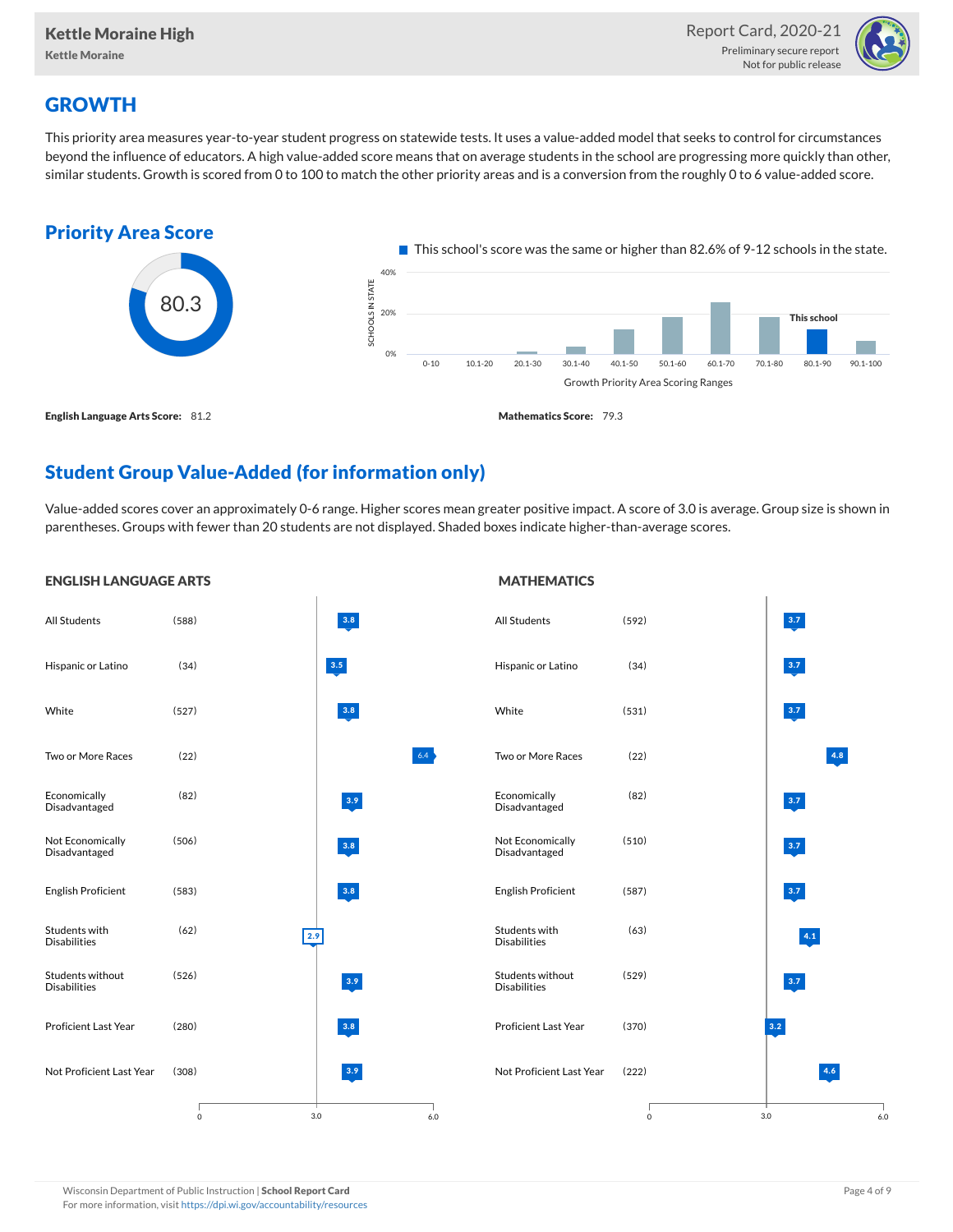

# **GROWTH**

This priority area measures year-to-year student progress on statewide tests. It uses a value-added model that seeks to control for circumstances beyond the influence of educators. A high value-added score means that on average students in the school are progressing more quickly than other, similar students. Growth is scored from 0 to 100 to match the other priority areas and is a conversion from the roughly 0 to 6 value-added score.



# Student Group Value-Added (for information only)

Value-added scores cover an approximately 0-6 range. Higher scores mean greater positive impact. A score of 3.0 is average. Group size is shown in parentheses. Groups with fewer than 20 students are not displayed. Shaded boxes indicate higher-than-average scores.

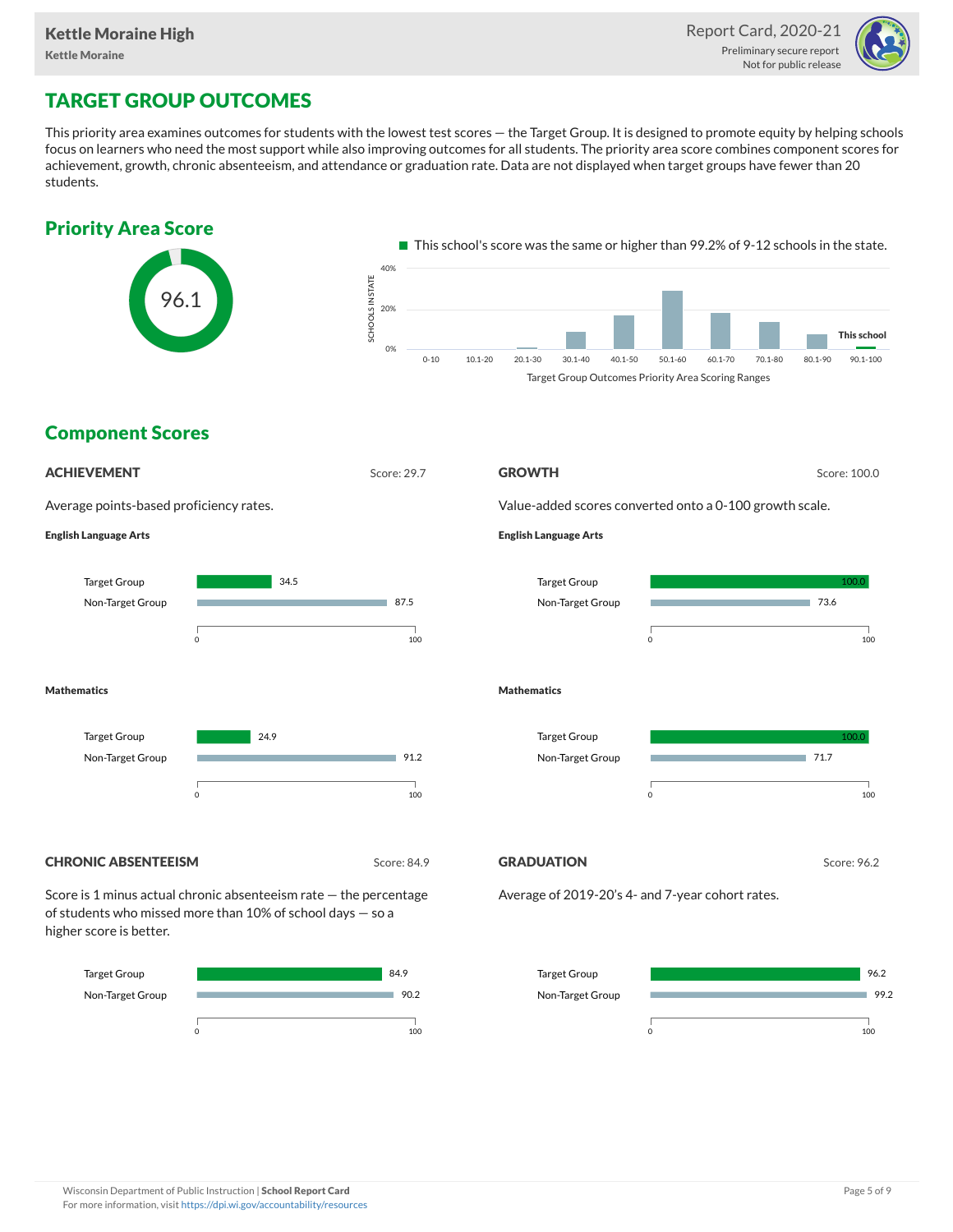

## TARGET GROUP OUTCOMES

This priority area examines outcomes for students with the lowest test scores — the Target Group. It is designed to promote equity by helping schools focus on learners who need the most support while also improving outcomes for all students. The priority area score combines component scores for achievement, growth, chronic absenteeism, and attendance or graduation rate. Data are not displayed when target groups have fewer than 20 students.

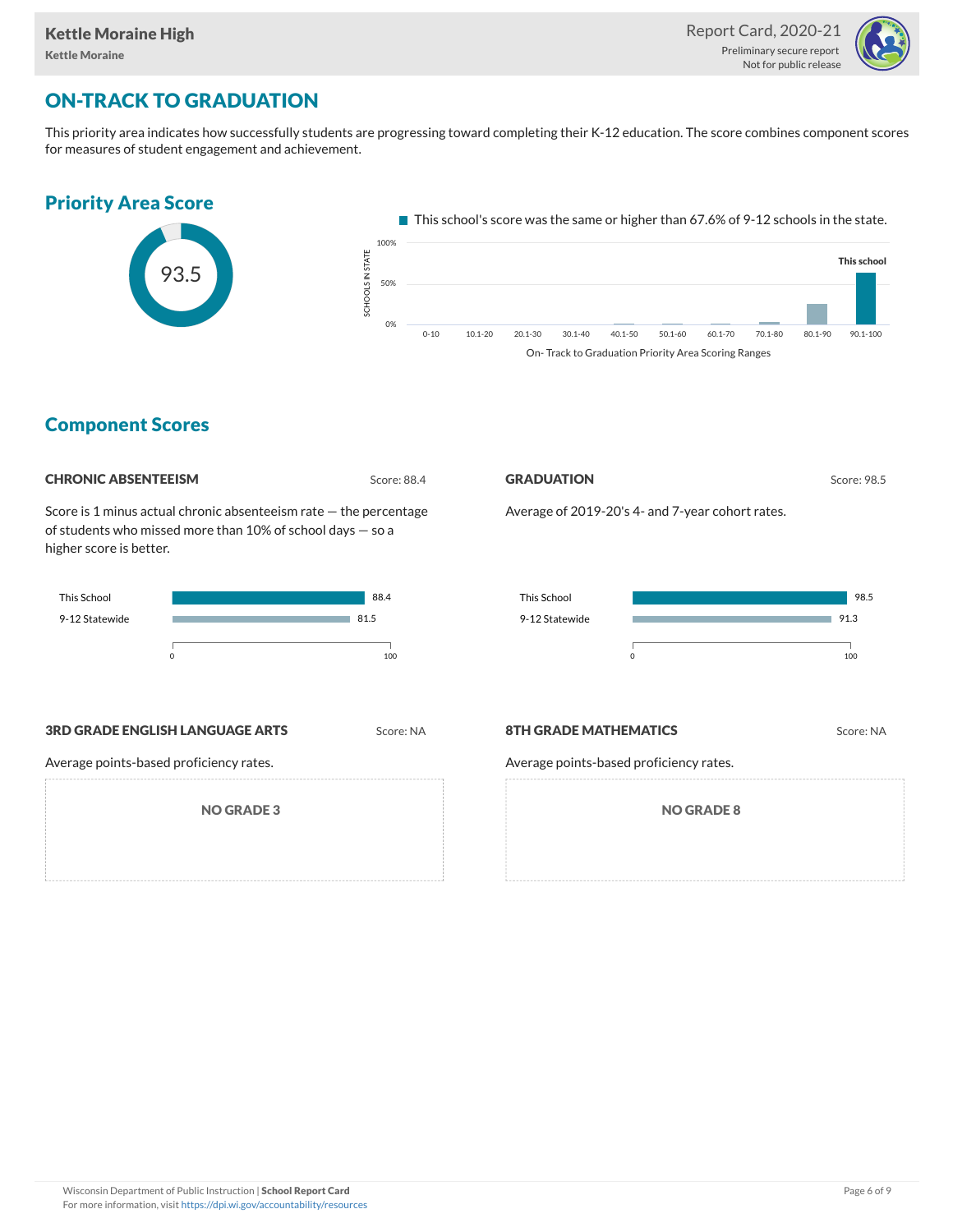

# ON-TRACK TO GRADUATION

This priority area indicates how successfully students are progressing toward completing their K-12 education. The score combines component scores for measures of student engagement and achievement.



### Component Scores

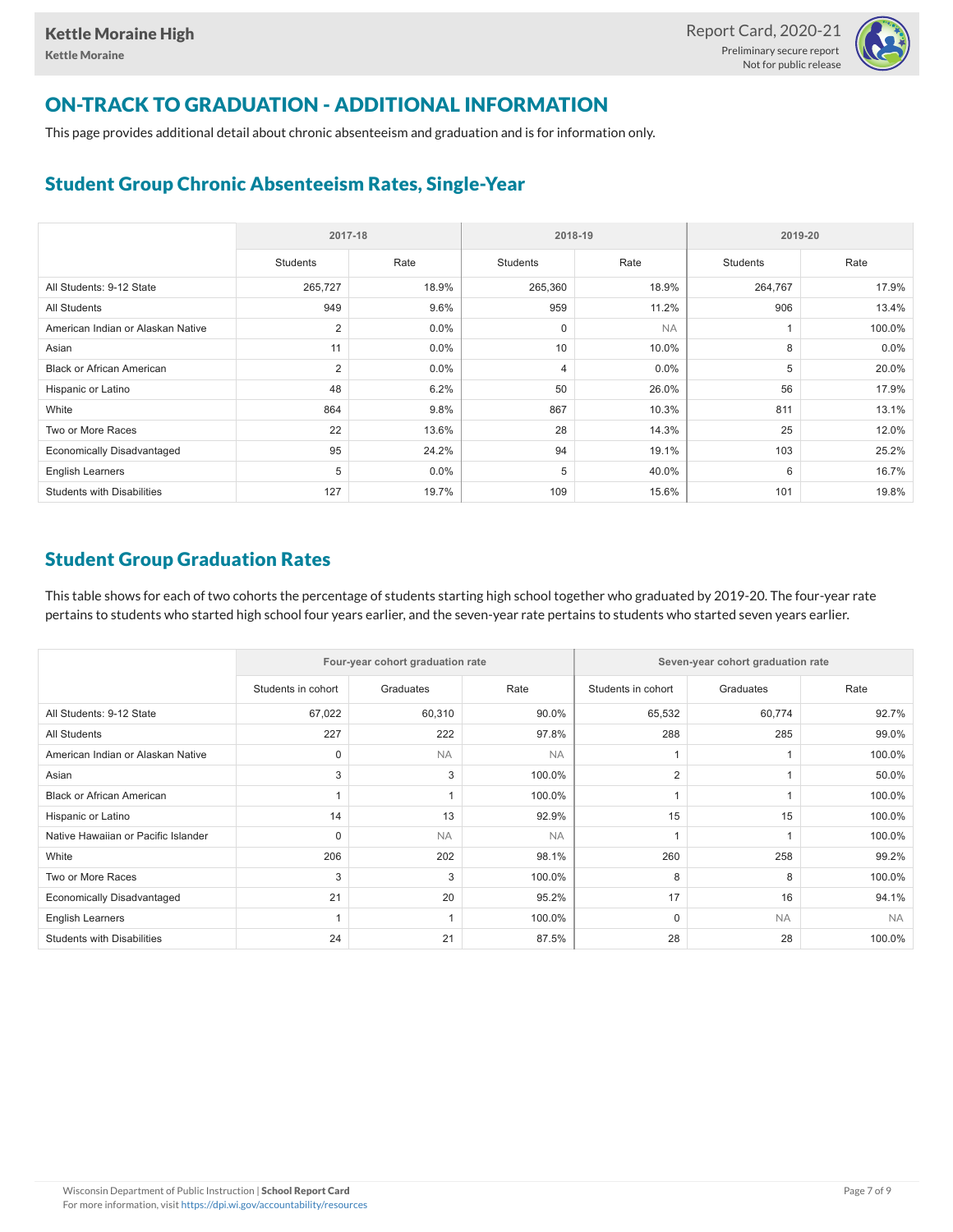

# ON-TRACK TO GRADUATION - ADDITIONAL INFORMATION

This page provides additional detail about chronic absenteeism and graduation and is for information only.

# Student Group Chronic Absenteeism Rates, Single-Year

|                                   | 2017-18         |         | 2018-19         |           | 2019-20  |        |  |
|-----------------------------------|-----------------|---------|-----------------|-----------|----------|--------|--|
|                                   | <b>Students</b> | Rate    | <b>Students</b> | Rate      | Students | Rate   |  |
| All Students: 9-12 State          | 265,727         | 18.9%   | 265,360         | 18.9%     | 264,767  | 17.9%  |  |
| <b>All Students</b>               | 949             | 9.6%    | 959             | 11.2%     | 906      | 13.4%  |  |
| American Indian or Alaskan Native | $\overline{2}$  | $0.0\%$ | $\mathbf 0$     | <b>NA</b> |          | 100.0% |  |
| Asian                             | 11              | $0.0\%$ | 10              | 10.0%     | 8        | 0.0%   |  |
| <b>Black or African American</b>  | $\overline{2}$  | $0.0\%$ | $\overline{4}$  | 0.0%      | 5        | 20.0%  |  |
| Hispanic or Latino                | 48              | 6.2%    | 50              | 26.0%     | 56       | 17.9%  |  |
| White                             | 864             | 9.8%    | 867             | 10.3%     | 811      | 13.1%  |  |
| Two or More Races                 | 22              | 13.6%   | 28              | 14.3%     | 25       | 12.0%  |  |
| <b>Economically Disadvantaged</b> | 95              | 24.2%   | 94              | 19.1%     | 103      | 25.2%  |  |
| <b>English Learners</b>           | 5               | $0.0\%$ | 5               | 40.0%     | 6        | 16.7%  |  |
| <b>Students with Disabilities</b> | 127             | 19.7%   | 109             | 15.6%     | 101      | 19.8%  |  |

# Student Group Graduation Rates

This table shows for each of two cohorts the percentage of students starting high school together who graduated by 2019-20. The four-year rate pertains to students who started high school four years earlier, and the seven-year rate pertains to students who started seven years earlier.

|                                     |                    | Four-year cohort graduation rate |           | Seven-year cohort graduation rate |           |           |  |  |  |
|-------------------------------------|--------------------|----------------------------------|-----------|-----------------------------------|-----------|-----------|--|--|--|
|                                     | Students in cohort | Graduates                        | Rate      | Students in cohort                | Graduates | Rate      |  |  |  |
| All Students: 9-12 State            | 67,022             | 60,310                           | 90.0%     | 65,532                            | 60,774    | 92.7%     |  |  |  |
| <b>All Students</b>                 | 227                | 222                              | 97.8%     | 288                               | 285       | 99.0%     |  |  |  |
| American Indian or Alaskan Native   | 0                  | <b>NA</b>                        | <b>NA</b> |                                   |           | 100.0%    |  |  |  |
| Asian                               | 3                  | 3                                | 100.0%    | $\overline{2}$                    |           | 50.0%     |  |  |  |
| <b>Black or African American</b>    |                    |                                  | 100.0%    |                                   |           | 100.0%    |  |  |  |
| Hispanic or Latino                  | 14                 | 13                               | 92.9%     | 15                                | 15        | 100.0%    |  |  |  |
| Native Hawaiian or Pacific Islander | $\Omega$           | <b>NA</b>                        | <b>NA</b> |                                   |           | 100.0%    |  |  |  |
| White                               | 206                | 202                              | 98.1%     | 260                               | 258       | 99.2%     |  |  |  |
| Two or More Races                   | 3                  | 3                                | 100.0%    | 8                                 | 8         | 100.0%    |  |  |  |
| <b>Economically Disadvantaged</b>   | 21                 | 20                               | 95.2%     | 17                                | 16        | 94.1%     |  |  |  |
| <b>English Learners</b>             |                    |                                  | 100.0%    | $\mathbf 0$                       | <b>NA</b> | <b>NA</b> |  |  |  |
| <b>Students with Disabilities</b>   | 24                 | 21                               | 87.5%     | 28                                | 28        | 100.0%    |  |  |  |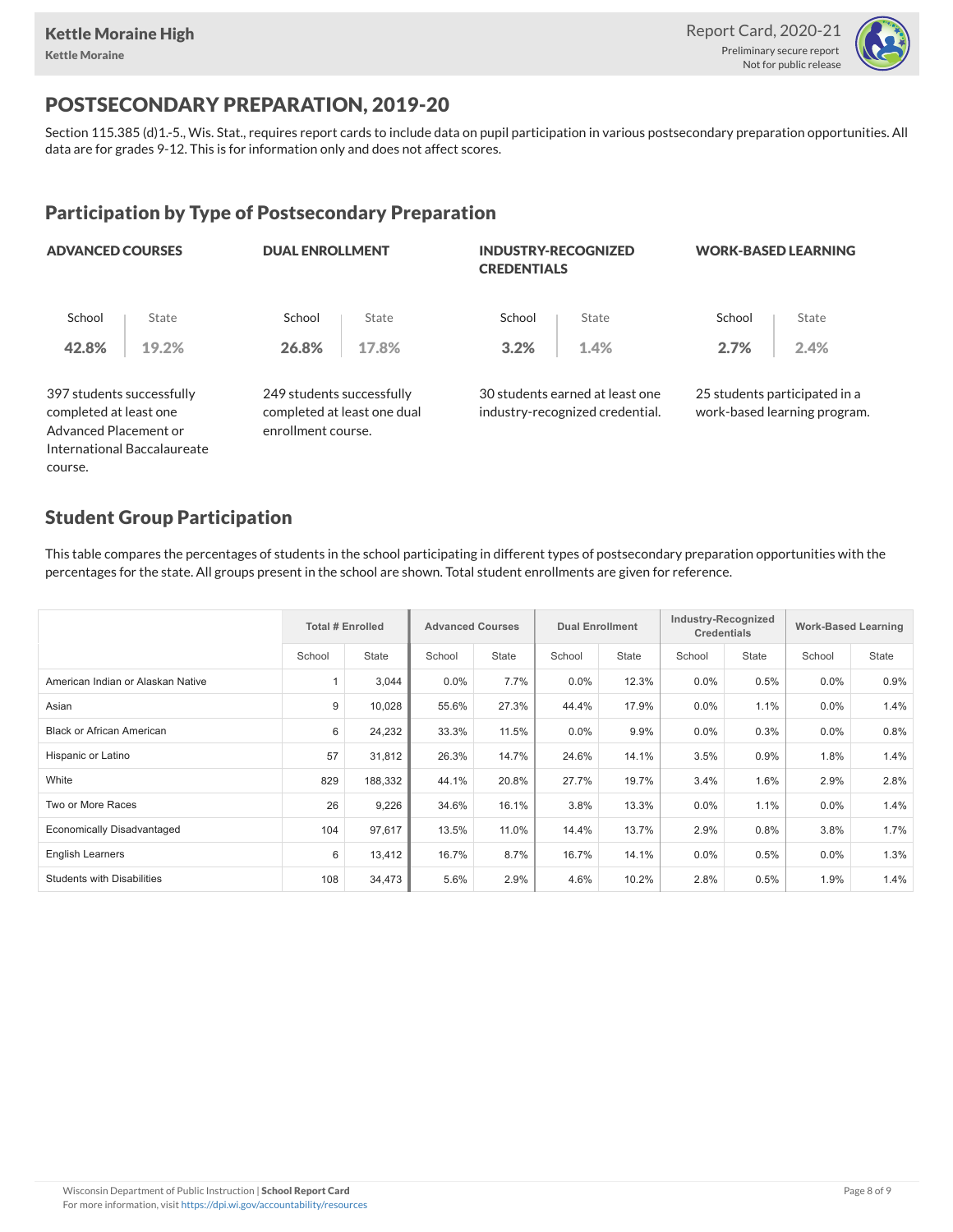

## POSTSECONDARY PREPARATION, 2019-20

Section 115.385 (d)1.-5., Wis. Stat., requires report cards to include data on pupil participation in various postsecondary preparation opportunities. All data are for grades 9-12. This is for information only and does not affect scores.

# Participation by Type of Postsecondary Preparation

| <b>ADVANCED COURSES</b>                             |                             |                           | <b>DUAL ENROLLMENT</b>      |        | <b>INDUSTRY-RECOGNIZED</b><br><b>CREDENTIALS</b>                   | <b>WORK-BASED LEARNING</b> |                                                               |  |
|-----------------------------------------------------|-----------------------------|---------------------------|-----------------------------|--------|--------------------------------------------------------------------|----------------------------|---------------------------------------------------------------|--|
| School                                              | State                       | School                    | State                       | School | State                                                              | School                     | State                                                         |  |
| 42.8%                                               | 19.2%                       | 26.8%                     | 17.8%                       | 3.2%   | 1.4%                                                               | 2.7%                       | 2.4%                                                          |  |
| 397 students successfully<br>completed at least one |                             | 249 students successfully | completed at least one dual |        | 30 students earned at least one<br>industry-recognized credential. |                            | 25 students participated in a<br>work-based learning program. |  |
| Advanced Placement or                               |                             | enrollment course.        |                             |        |                                                                    |                            |                                                               |  |
|                                                     | International Baccalaureate |                           |                             |        |                                                                    |                            |                                                               |  |
| course.                                             |                             |                           |                             |        |                                                                    |                            |                                                               |  |

### Student Group Participation

This table compares the percentages of students in the school participating in different types of postsecondary preparation opportunities with the percentages for the state. All groups present in the school are shown. Total student enrollments are given for reference.

|                                   | <b>Total # Enrolled</b> |              | <b>Advanced Courses</b> |              | <b>Dual Enrollment</b> |       | Industry-Recognized<br><b>Credentials</b> |              | <b>Work-Based Learning</b> |              |
|-----------------------------------|-------------------------|--------------|-------------------------|--------------|------------------------|-------|-------------------------------------------|--------------|----------------------------|--------------|
|                                   | School                  | <b>State</b> | School                  | <b>State</b> | School                 | State | School                                    | <b>State</b> | School                     | <b>State</b> |
| American Indian or Alaskan Native |                         | 3,044        | $0.0\%$                 | 7.7%         | 0.0%                   | 12.3% | 0.0%                                      | 0.5%         | $0.0\%$                    | 0.9%         |
| Asian                             | 9                       | 10,028       | 55.6%                   | 27.3%        | 44.4%                  | 17.9% | 0.0%                                      | 1.1%         | $0.0\%$                    | 1.4%         |
| <b>Black or African American</b>  | 6                       | 24,232       | 33.3%                   | 11.5%        | 0.0%                   | 9.9%  | $0.0\%$                                   | 0.3%         | 0.0%                       | 0.8%         |
| Hispanic or Latino                | 57                      | 31,812       | 26.3%                   | 14.7%        | 24.6%                  | 14.1% | 3.5%                                      | 0.9%         | 1.8%                       | 1.4%         |
| White                             | 829                     | 188,332      | 44.1%                   | 20.8%        | 27.7%                  | 19.7% | 3.4%                                      | 1.6%         | 2.9%                       | 2.8%         |
| Two or More Races                 | 26                      | 9,226        | 34.6%                   | 16.1%        | 3.8%                   | 13.3% | 0.0%                                      | 1.1%         | $0.0\%$                    | 1.4%         |
| Economically Disadvantaged        | 104                     | 97,617       | 13.5%                   | 11.0%        | 14.4%                  | 13.7% | 2.9%                                      | 0.8%         | 3.8%                       | 1.7%         |
| <b>English Learners</b>           | 6                       | 13,412       | 16.7%                   | 8.7%         | 16.7%                  | 14.1% | $0.0\%$                                   | 0.5%         | $0.0\%$                    | 1.3%         |
| <b>Students with Disabilities</b> | 108                     | 34,473       | 5.6%                    | 2.9%         | 4.6%                   | 10.2% | 2.8%                                      | 0.5%         | 1.9%                       | 1.4%         |